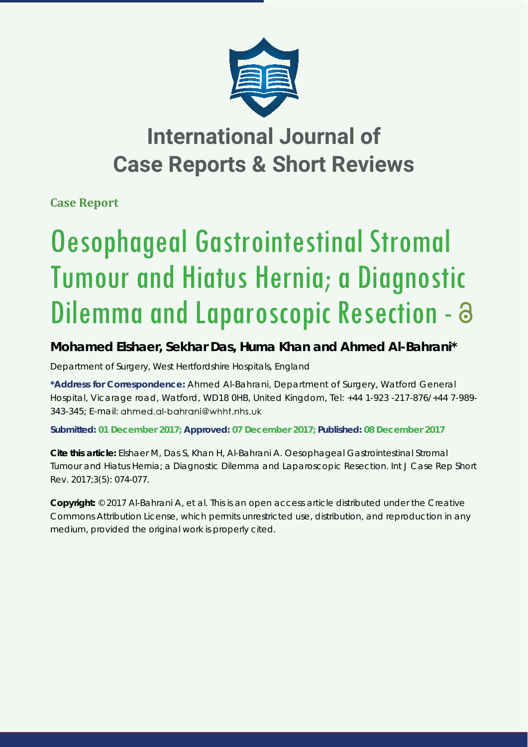

## **International Journal of Case Reports & Short Reviews**

**Case Report**

# Oesophageal Gastrointestinal Stromal Tumour and Hiatus Hernia; a Diagnostic Dilemma and Laparoscopic Resection - a

### **Mohamed Elshaer, Sekhar Das, Huma Khan and Ahmed Al-Bahrani\***

*Department of Surgery, West Hertfordshire Hospitals, England*

**\*Address for Correspondence:** Ahmed Al-Bahrani, Department of Surgery, Watford General Hospital, Vicarage road, Watford, WD18 0HB, United Kingdom, Tel: +44 1-923 -217-876/+44 7-989- 343-345; E-mail: ahmed.al-bahrani@whht.nhs.uk

**Submitted: 01 December 2017; Approved: 07 December 2017; Published: 08 December 2017**

**Cite this article:** Elshaer M, Das S, Khan H, Al-Bahrani A. Oesophageal Gastrointestinal Stromal Tumour and Hiatus Hernia; a Diagnostic Dilemma and Laparoscopic Resection. Int J Case Rep Short Rev. 2017;3(5): 074-077.

**Copyright:** © 2017 Al-Bahrani A, et al. This is an open access article distributed under the Creative Commons Attribution License, which permits unrestricted use, distribution, and reproduction in any medium, provided the original work is properly cited.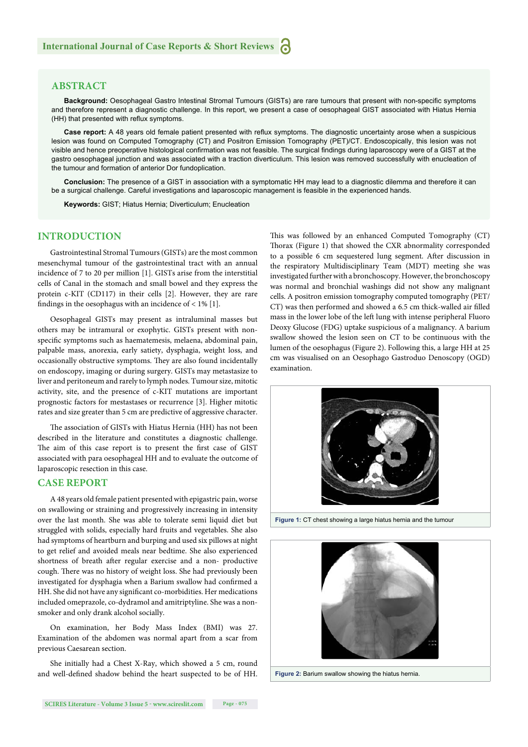#### **ABSTRACT**

Background: Oesophageal Gastro Intestinal Stromal Tumours (GISTs) are rare tumours that present with non-specific symptoms and therefore represent a diagnostic challenge. In this report, we present a case of oesophageal GIST associated with Hiatus Hernia (HH) that presented with reflux symptoms.

Case report: A 48 years old female patient presented with reflux symptoms. The diagnostic uncertainty arose when a suspicious lesion was found on Computed Tomography (CT) and Positron Emission Tomography (PET)/CT. Endoscopically, this lesion was not visible and hence preoperative histological confirmation was not feasible. The surgical findings during laparoscopy were of a GIST at the gastro oesophageal junction and was associated with a traction diverticulum. This lesion was removed successfully with enucleation of the tumour and formation of anterior Dor fundoplication.

**Conclusion:** The presence of a GIST in association with a symptomatic HH may lead to a diagnostic dilemma and therefore it can be a surgical challenge. Careful investigations and laparoscopic management is feasible in the experienced hands.

**Keywords:** GIST; Hiatus Hernia; Diverticulum; Enucleation

#### **INTRODUCTION**

Gastrointestinal Stromal Tumours (GISTs) are the most common mesenchymal tumour of the gastrointestinal tract with an annual incidence of 7 to 20 per million [1]. GISTs arise from the interstitial cells of Canal in the stomach and small bowel and they express the protein c-KIT (CD117) in their cells [2]. However, they are rare findings in the oesophagus with an incidence of  $< 1\%$  [1].

Oesophageal GISTs may present as intraluminal masses but others may be intramural or exophytic. GISTs present with nonspecific symptoms such as haematemesis, melaena, abdominal pain, palpable mass, anorexia, early satiety, dysphagia, weight loss, and occasionally obstructive symptoms. They are also found incidentally on endoscopy, imaging or during surgery. GISTs may metastasize to liver and peritoneum and rarely to lymph nodes. Tumour size, mitotic activity, site, and the presence of c-KIT mutations are important prognostic factors for mestastases or recurrence [3]. Higher mitotic rates and size greater than 5 cm are predictive of aggressive character.

The association of GISTs with Hiatus Hernia (HH) has not been described in the literature and constitutes a diagnostic challenge. The aim of this case report is to present the first case of GIST associated with para oesophageal HH and to evaluate the outcome of laparoscopic resection in this case.

#### **CASE REPORT**

A 48 years old female patient presented with epigastric pain, worse on swallowing or straining and progressively increasing in intensity over the last month. She was able to tolerate semi liquid diet but struggled with solids, especially hard fruits and vegetables. She also had symptoms of heartburn and burping and used six pillows at night to get relief and avoided meals near bedtime. She also experienced shortness of breath after regular exercise and a non- productive cough. There was no history of weight loss. She had previously been investigated for dysphagia when a Barium swallow had confirmed a HH. She did not have any significant co-morbidities. Her medications included omeprazole, co-dydramol and amitriptyline. She was a nonsmoker and only drank alcohol socially.

On examination, her Body Mass Index (BMI) was 27. Examination of the abdomen was normal apart from a scar from previous Caesarean section.

She initially had a Chest X-Ray, which showed a 5 cm, round and well-defined shadow behind the heart suspected to be of HH. This was followed by an enhanced Computed Tomography (CT) Thorax (Figure 1) that showed the CXR abnormality corresponded to a possible 6 cm sequestered lung segment. After discussion in the respiratory Multidisciplinary Team (MDT) meeting she was investigated further with a bronchoscopy. However, the bronchoscopy was normal and bronchial washings did not show any malignant cells. A positron emission tomography computed tomography (PET/ CT) was then performed and showed a 6.5 cm thick-walled air filled mass in the lower lobe of the left lung with intense peripheral Fluoro Deoxy Glucose (FDG) uptake suspicious of a malignancy. A barium swallow showed the lesion seen on CT to be continuous with the lumen of the oesophagus (Figure 2). Following this, a large HH at 25 cm was visualised on an Oesophago Gastroduo Denoscopy (OGD) examination.



**Figure 1:** CT chest showing a large hiatus hernia and the tumour



**Figure 2:** Barium swallow showing the hiatus hernia.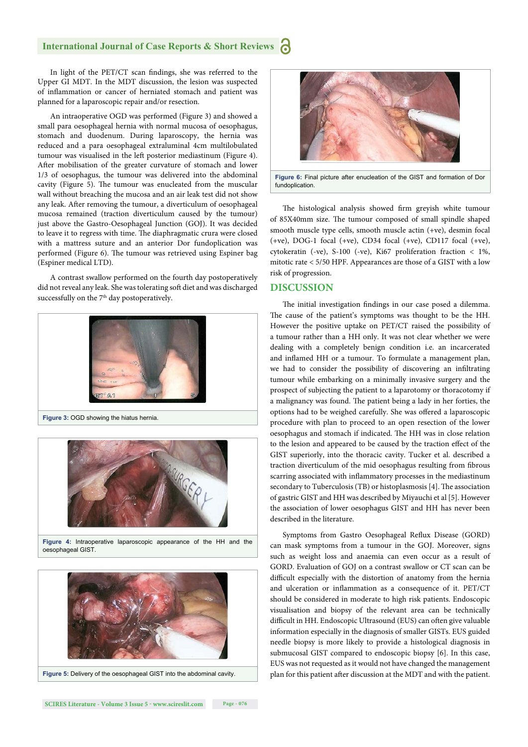#### **International Journal of Case Reports & Short Reviews**

In light of the PET/CT scan findings, she was referred to the Upper GI MDT. In the MDT discussion, the lesion was suspected of inflammation or cancer of herniated stomach and patient was planned for a laparoscopic repair and/or resection.

An intraoperative OGD was performed (Figure 3) and showed a small para oesophageal hernia with normal mucosa of oesophagus, stomach and duodenum. During laparoscopy, the hernia was reduced and a para oesophageal extraluminal 4cm multilobulated tumour was visualised in the left posterior mediastinum (Figure 4). After mobilisation of the greater curvature of stomach and lower 1/3 of oesophagus, the tumour was delivered into the abdominal cavity (Figure 5). The tumour was enucleated from the muscular wall without breaching the mucosa and an air leak test did not show any leak. After removing the tumour, a diverticulum of oesophageal mucosa remained (traction diverticulum caused by the tumour) just above the Gastro-Oesophageal Junction (GOJ). It was decided to leave it to regress with time. The diaphragmatic crura were closed with a mattress suture and an anterior Dor fundoplication was performed (Figure 6). The tumour was retrieved using Espiner bag (Espiner medical LTD).

A contrast swallow performed on the fourth day postoperatively did not reveal any leak. She was tolerating soft diet and was discharged successfully on the 7<sup>th</sup> day postoperatively.





**Figure 4:** Intraoperative laparoscopic appearance of the HH and the oesophageal GIST.





**Figure 6:** Final picture after enucleation of the GIST and formation of Dor fundoplication

The histological analysis showed firm greyish white tumour of 85X40mm size. The tumour composed of small spindle shaped smooth muscle type cells, smooth muscle actin (+ve), desmin focal (+ve), DOG-1 focal (+ve), CD34 focal (+ve), CD117 focal (+ve), cytokeratin (-ve), S-100 (-ve), Ki67 proliferation fraction < 1%, mitotic rate < 5/50 HPF. Appearances are those of a GIST with a low risk of progression.

#### **DISCUSSION**

The initial investigation findings in our case posed a dilemma. The cause of the patient's symptoms was thought to be the HH. However the positive uptake on PET/CT raised the possibility of a tumour rather than a HH only. It was not clear whether we were dealing with a completely benign condition i.e. an incarcerated and inflamed HH or a tumour. To formulate a management plan, we had to consider the possibility of discovering an infiltrating tumour while embarking on a minimally invasive surgery and the prospect of subjecting the patient to a laparotomy or thoracotomy if a malignancy was found. The patient being a lady in her forties, the options had to be weighed carefully. She was offered a laparoscopic procedure with plan to proceed to an open resection of the lower oesophagus and stomach if indicated. The HH was in close relation to the lesion and appeared to be caused by the traction effect of the GIST superiorly, into the thoracic cavity. Tucker et al. described a traction diverticulum of the mid oesophagus resulting from fibrous scarring associated with inflammatory processes in the mediastinum secondary to Tuberculosis (TB) or histoplasmosis [4]. The association of gastric GIST and HH was described by Miyauchi et al [5]. However the association of lower oesophagus GIST and HH has never been described in the literature.

Symptoms from Gastro Oesophageal Reflux Disease (GORD) can mask symptoms from a tumour in the GOJ. Moreover, signs such as weight loss and anaemia can even occur as a result of GORD. Evaluation of GOJ on a contrast swallow or CT scan can be difficult especially with the distortion of anatomy from the hernia and ulceration or inflammation as a consequence of it. PET/CT should be considered in moderate to high risk patients. Endoscopic visualisation and biopsy of the relevant area can be technically difficult in HH. Endoscopic Ultrasound (EUS) can often give valuable information especially in the diagnosis of smaller GISTs. EUS guided needle biopsy is more likely to provide a histological diagnosis in submucosal GIST compared to endoscopic biopsy [6]. In this case, EUS was not requested as it would not have changed the management plan for this patient after discussion at the MDT and with the patient.